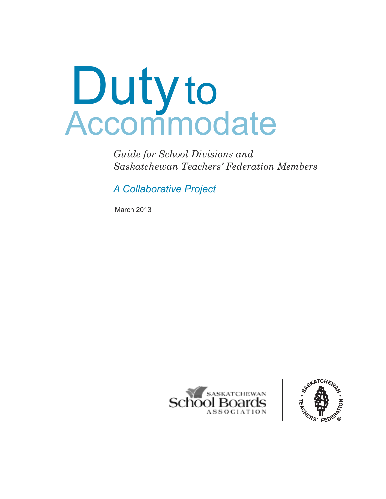# Dutyto Accommodate

*Guide for School Divisions and Saskatchewan Teachers' Federation Members*

*A Collaborative Project*

March 2013



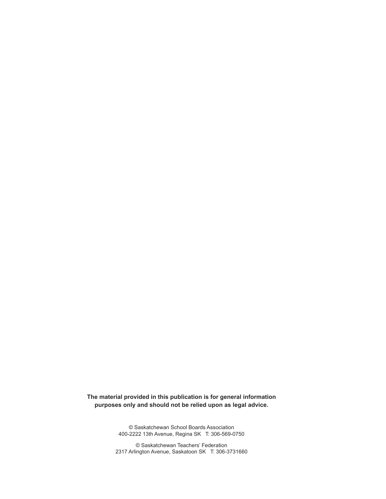**The material provided in this publication is for general information purposes only and should not be relied upon as legal advice.**

> © Saskatchewan School Boards Association 400-2222 13th Avenue, Regina SK T: 306-569-0750

© Saskatchewan Teachers' Federation 2317 Arlington Avenue, Saskatoon SK T: 306-3731660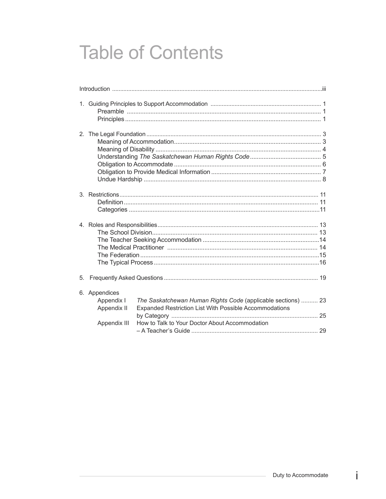# **Table of Contents**

| 6. Appendices<br>Appendix I<br>Appendix II<br>Appendix III | The Saskatchewan Human Rights Code (applicable sections)  23<br>Expanded Restriction List With Possible Accommodations<br>How to Talk to Your Doctor About Accommodation |  |
|------------------------------------------------------------|--------------------------------------------------------------------------------------------------------------------------------------------------------------------------|--|

 $\mathbf i$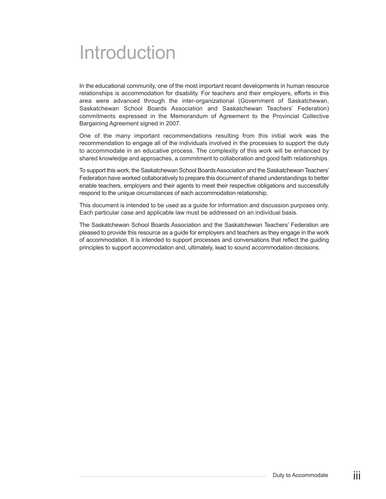# Introduction

In the educational community, one of the most important recent developments in human resource relationships is accommodation for disability. For teachers and their employers, efforts in this area were advanced through the inter-organizational (Government of Saskatchewan, Saskatchewan School Boards Association and Saskatchewan Teachers' Federation) commitments expressed in the Memorandum of Agreement to the Provincial Collective Bargaining Agreement signed in 2007.

One of the many important recommendations resulting from this initial work was the recommendation to engage all of the individuals involved in the processes to support the duty to accommodate in an educative process. The complexity of this work will be enhanced by shared knowledge and approaches, a commitment to collaboration and good faith relationships.

To support this work, the Saskatchewan School Boards Association and the Saskatchewan Teachers' Federation have worked collaboratively to prepare this document of shared understandings to better enable teachers, employers and their agents to meet their respective obligations and successfully respond to the unique circumstances of each accommodation relationship.

This document is intended to be used as a guide for information and discussion purposes only. Each particular case and applicable law must be addressed on an individual basis.

The Saskatchewan School Boards Association and the Saskatchewan Teachers' Federation are pleased to provide this resource as a guide for employers and teachers as they engage in the work of accommodation. It is intended to support processes and conversations that reflect the guiding principles to support accommodation and, ultimately, lead to sound accommodation decisions.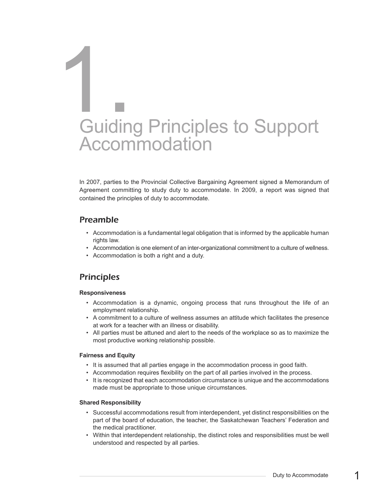# Guiding Principles to Support **Accommodation** 1.<br>1. Guidin

In 2007, parties to the Provincial Collective Bargaining Agreement signed a Memorandum of Agreement committing to study duty to accommodate. In 2009, a report was signed that contained the principles of duty to accommodate.

## *Preamble*

- Accommodation is a fundamental legal obligation that is informed by the applicable human rights law.
- Accommodation is one element of an inter-organizational commitment to a culture of wellness.
- Accommodation is both a right and a duty.

# *Principles*

#### **Responsiveness**

- Accommodation is a dynamic, ongoing process that runs throughout the life of an employment relationship.
- A commitment to a culture of wellness assumes an attitude which facilitates the presence at work for a teacher with an illness or disability.
- All parties must be attuned and alert to the needs of the workplace so as to maximize the most productive working relationship possible.

#### **Fairness and Equity**

- It is assumed that all parties engage in the accommodation process in good faith.
- Accommodation requires flexibility on the part of all parties involved in the process.
- It is recognized that each accommodation circumstance is unique and the accommodations made must be appropriate to those unique circumstances.

#### **Shared Responsibility**

- Successful accommodations result from interdependent, yet distinct responsibilities on the part of the board of education, the teacher, the Saskatchewan Teachers' Federation and the medical practitioner.
- Within that interdependent relationship, the distinct roles and responsibilities must be well understood and respected by all parties.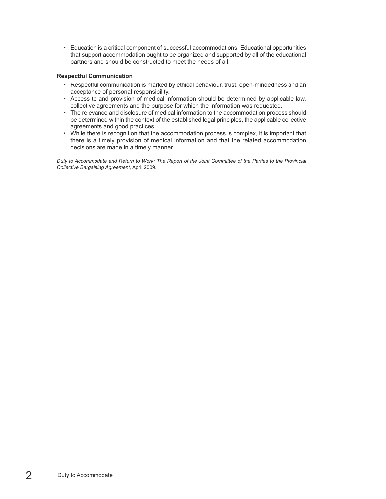• Education is a critical component of successful accommodations. Educational opportunities that support accommodation ought to be organized and supported by all of the educational partners and should be constructed to meet the needs of all.

#### **Respectful Communication**

- Respectful communication is marked by ethical behaviour, trust, open-mindedness and an acceptance of personal responsibility.
- Access to and provision of medical information should be determined by applicable law, collective agreements and the purpose for which the information was requested.
- The relevance and disclosure of medical information to the accommodation process should be determined within the context of the established legal principles, the applicable collective agreements and good practices.
- While there is recognition that the accommodation process is complex, it is important that there is a timely provision of medical information and that the related accommodation decisions are made in a timely manner.

Duty to Accommodate and Return to Work: The Report of the Joint Committee of the Parties to the Provincial *Collective Bargaining Agreement,* April 2009*.*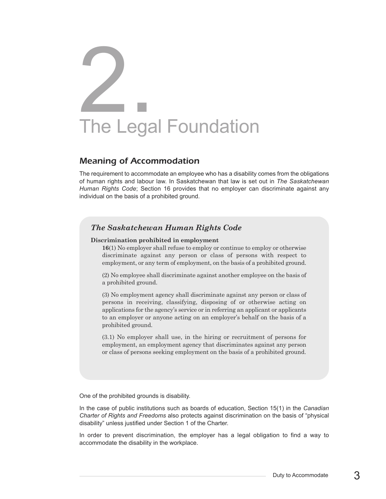# The Legal Foundation 2.

### *Meaning of Accommodation*

The requirement to accommodate an employee who has a disability comes from the obligations of human rights and labour law. In Saskatchewan that law is set out in *The Saskatchewan Human Rights Code*; Section 16 provides that no employer can discriminate against any individual on the basis of a prohibited ground.

### *The Saskatchewan Human Rights Code*

#### **Discrimination prohibited in employment**

**16**(1) No employer shall refuse to employ or continue to employ or otherwise discriminate against any person or class of persons with respect to employment, or any term of employment, on the basis of a prohibited ground.

(2) No employee shall discriminate against another employee on the basis of a prohibited ground.

(3) No employment agency shall discriminate against any person or class of persons in receiving, classifying, disposing of or otherwise acting on applications for the agency's service or in referring an applicant or applicants to an employer or anyone acting on an employer's behalf on the basis of a prohibited ground.

(3.1) No employer shall use, in the hiring or recruitment of persons for employment, an employment agency that discriminates against any person or class of persons seeking employment on the basis of a prohibited ground.

One of the prohibited grounds is disability.

In the case of public institutions such as boards of education, Section 15(1) in the *Canadian Charter of Rights and Freedoms* also protects against discrimination on the basis of "physical disability" unless justified under Section 1 of the Charter.

In order to prevent discrimination, the employer has a legal obligation to find a way to accommodate the disability in the workplace.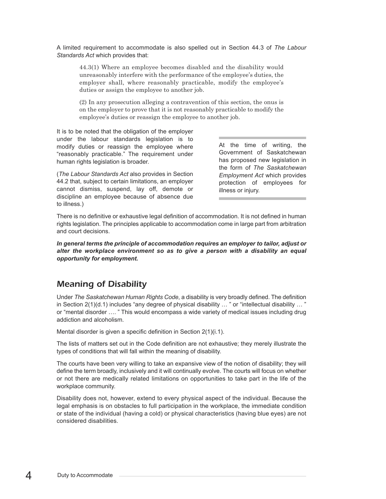A limited requirement to accommodate is also spelled out in Section 44.3 of *The Labour Standards Act* which provides that:

44.3(1) Where an employee becomes disabled and the disability would unreasonably interfere with the performance of the employee's duties, the employer shall, where reasonably practicable, modify the employee's duties or assign the employee to another job.

(2) In any prosecution alleging a contravention of this section, the onus is on the employer to prove that it is not reasonably practicable to modify the employee's duties or reassign the employee to another job.

It is to be noted that the obligation of the employer under the labour standards legislation is to modify duties or reassign the employee where "reasonably practicable." The requirement under human rights legislation is broader.

(*The Labour Standards Act* also provides in Section 44.2 that, subject to certain limitations, an employer cannot dismiss, suspend, lay off, demote or discipline an employee because of absence due to illness.)

At the time of writing, the Government of Saskatchewan has proposed new legislation in the form of *The Saskatchewan Employment Act* which provides protection of employees for illness or injury.

There is no definitive or exhaustive legal definition of accommodation. It is not defined in human rights legislation. The principles applicable to accommodation come in large part from arbitration and court decisions.

*In general terms the principle of accommodation requires an employer to tailor, adjust or alter the workplace environment so as to give a person with a disability an equal opportunity for employment.*

# *Meaning of Disability*

Under *The Saskatchewan Human Rights Code*, a disability is very broadly defined. The definition in Section  $2(1)(d.1)$  includes "any degree of physical disability ... " or "intellectual disability ... " or "mental disorder …. " This would encompass a wide variety of medical issues including drug addiction and alcoholism.

Mental disorder is given a specific definition in Section 2(1)(i.1).

The lists of matters set out in the Code definition are not exhaustive; they merely illustrate the types of conditions that will fall within the meaning of disability.

The courts have been very willing to take an expansive view of the notion of disability; they will define the term broadly, inclusively and it will continually evolve. The courts will focus on whether or not there are medically related limitations on opportunities to take part in the life of the workplace community.

Disability does not, however, extend to every physical aspect of the individual. Because the legal emphasis is on obstacles to full participation in the workplace, the immediate condition or state of the individual (having a cold) or physical characteristics (having blue eyes) are not considered disabilities.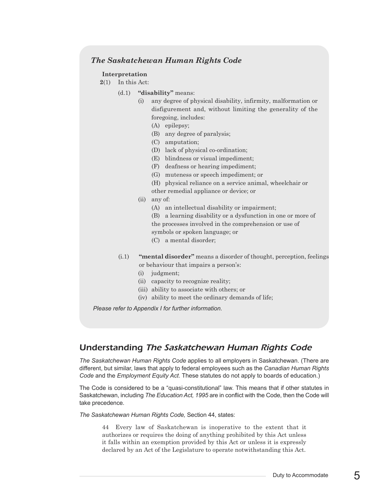### *The Saskatchewan Human Rights Code*

#### **Interpretation**

- **2**(1) In this Act:
	- (d.1) **"disability"** means:
		- (i) any degree of physical disability, infirmity, malformation or disfigurement and, without limiting the generality of the foregoing, includes:
			- (A) epilepsy;
			- (B) any degree of paralysis;
			- (C) amputation;
			- (D) lack of physical co-ordination;
			- (E) blindness or visual impediment;
			- (F) deafness or hearing impediment;
			- (G) muteness or speech impediment; or
			- (H) physical reliance on a service animal, wheelchair or other remedial appliance or device; or
		- (ii) any of:
			- (A) an intellectual disability or impairment;
			- (B) a learning disability or a dysfunction in one or more of the processes involved in the comprehension or use of symbols or spoken language; or
			- (C) a mental disorder;
	- (i.1) **"mental disorder"** means a disorder of thought, perception, feelings or behaviour that impairs a person's:
		- (i) judgment;
		- (ii) capacity to recognize reality;
		- (iii) ability to associate with others; or
		- (iv) ability to meet the ordinary demands of life;

*Please refer to Appendix I for further information.*

### *Understanding The Saskatchewan Human Rights Code*

*The Saskatchewan Human Rights Code* applies to all employers in Saskatchewan. (There are different, but similar, laws that apply to federal employees such as the *Canadian Human Rights Code* and the *Employment Equity Act*. These statutes do not apply to boards of education.)

The Code is considered to be a "quasi-constitutional" law. This means that if other statutes in Saskatchewan, including *The Education Act, 1995* are in conflict with the Code, then the Code will take precedence.

*The Saskatchewan Human Rights Code,* Section 44, states:

44 Every law of Saskatchewan is inoperative to the extent that it authorizes or requires the doing of anything prohibited by this Act unless it falls within an exemption provided by this Act or unless it is expressly declared by an Act of the Legislature to operate notwithstanding this Act.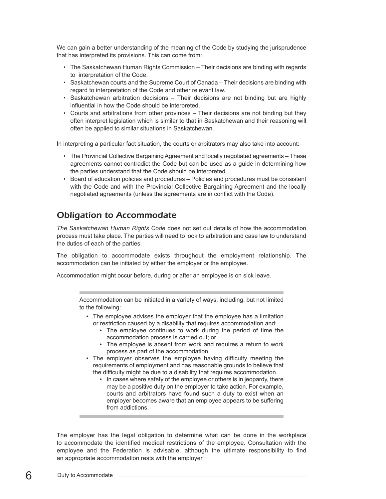We can gain a better understanding of the meaning of the Code by studying the jurisprudence that has interpreted its provisions. This can come from:

- The Saskatchewan Human Rights Commission Their decisions are binding with regards to interpretation of the Code.
- Saskatchewan courts and the Supreme Court of Canada Their decisions are binding with regard to interpretation of the Code and other relevant law.
- Saskatchewan arbitration decisions Their decisions are not binding but are highly influential in how the Code should be interpreted.
- Courts and arbitrations from other provinces Their decisions are not binding but they often interpret legislation which is similar to that in Saskatchewan and their reasoning will often be applied to similar situations in Saskatchewan.

In interpreting a particular fact situation, the courts or arbitrators may also take into account:

- The Provincial Collective Bargaining Agreement and locally negotiated agreements These agreements cannot contradict the Code but can be used as a guide in determining how the parties understand that the Code should be interpreted.
- Board of education policies and procedures Policies and procedures must be consistent with the Code and with the Provincial Collective Bargaining Agreement and the locally negotiated agreements (unless the agreements are in conflict with the Code).

# *Obligation to Accommodate*

*The Saskatchewan Human Rights Code* does not set out details of how the accommodation process must take place. The parties will need to look to arbitration and case law to understand the duties of each of the parties.

The obligation to accommodate exists throughout the employment relationship. The accommodation can be initiated by either the employer or the employee.

Accommodation might occur before, during or after an employee is on sick leave.

Accommodation can be initiated in a variety of ways, including, but not limited to the following:

- The employee advises the employer that the employee has a limitation or restriction caused by a disability that requires accommodation and:
	- The employee continues to work during the period of time the accommodation process is carried out; or
	- The employee is absent from work and requires a return to work process as part of the accommodation.
- The employer observes the employee having difficulty meeting the requirements of employment and has reasonable grounds to believe that the difficulty might be due to a disability that requires accommodation.
	- In cases where safety of the employee or others is in jeopardy, there may be a positive duty on the employer to take action. For example, courts and arbitrators have found such a duty to exist when an employer becomes aware that an employee appears to be suffering from addictions.

The employer has the legal obligation to determine what can be done in the workplace to accommodate the identified medical restrictions of the employee. Consultation with the employee and the Federation is advisable, although the ultimate responsibility to find an appropriate accommodation rests with the employer.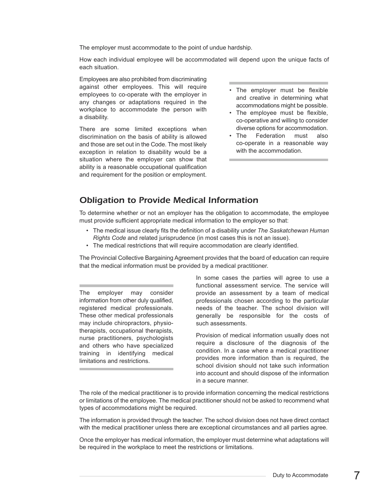The employer must accommodate to the point of undue hardship.

How each individual employee will be accommodated will depend upon the unique facts of each situation.

Employees are also prohibited from discriminating against other employees. This will require employees to co-operate with the employer in any changes or adaptations required in the workplace to accommodate the person with a disability.

There are some limited exceptions when discrimination on the basis of ability is allowed and those are set out in the Code. The most likely exception in relation to disability would be a situation where the employer can show that ability is a reasonable occupational qualification and requirement for the position or employment.

- The employer must be flexible and creative in determining what accommodations might be possible.
- The employee must be flexible, co-operative and willing to consider diverse options for accommodation.
- The Federation must also co-operate in a reasonable way with the accommodation.

# *Obligation to Provide Medical Information*

To determine whether or not an employer has the obligation to accommodate, the employee must provide sufficient appropriate medical information to the employer so that:

- The medical issue clearly fits the definition of a disability under *The Saskatchewan Human Rights Code* and related jurisprudence (in most cases this is not an issue).
- The medical restrictions that will require accommodation are clearly identified.

The Provincial Collective Bargaining Agreement provides that the board of education can require that the medical information must be provided by a medical practitioner.

The employer may consider information from other duly qualified, registered medical professionals. These other medical professionals may include chiropractors, physiotherapists, occupational therapists, nurse practitioners, psychologists and others who have specialized training in identifying medical limitations and restrictions.

In some cases the parties will agree to use a functional assessment service. The service will provide an assessment by a team of medical professionals chosen according to the particular needs of the teacher. The school division will generally be responsible for the costs of such assessments.

Provision of medical information usually does not require a disclosure of the diagnosis of the condition. In a case where a medical practitioner provides more information than is required, the school division should not take such information into account and should dispose of the information in a secure manner.

The role of the medical practitioner is to provide information concerning the medical restrictions or limitations of the employee. The medical practitioner should not be asked to recommend what types of accommodations might be required.

The information is provided through the teacher. The school division does not have direct contact with the medical practitioner unless there are exceptional circumstances and all parties agree.

Once the employer has medical information, the employer must determine what adaptations will be required in the workplace to meet the restrictions or limitations.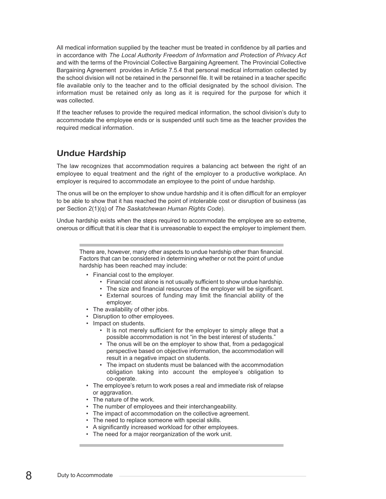All medical information supplied by the teacher must be treated in confidence by all parties and in accordance with *The Local Authority Freedom of Information and Protection of Privacy Act* and with the terms of the Provincial Collective Bargaining Agreement. The Provincial Collective Bargaining Agreement provides in Article 7.5.4 that personal medical information collected by the school division will not be retained in the personnel file. It will be retained in a teacher specific file available only to the teacher and to the official designated by the school division. The information must be retained only as long as it is required for the purpose for which it was collected.

If the teacher refuses to provide the required medical information, the school division's duty to accommodate the employee ends or is suspended until such time as the teacher provides the required medical information.

# *Undue Hardship*

The law recognizes that accommodation requires a balancing act between the right of an employee to equal treatment and the right of the employer to a productive workplace. An employer is required to accommodate an employee to the point of undue hardship.

The onus will be on the employer to show undue hardship and it is often difficult for an employer to be able to show that it has reached the point of intolerable cost or disruption of business (as per Section 2(1)(q) of *The Saskatchewan Human Rights Code*).

Undue hardship exists when the steps required to accommodate the employee are so extreme, onerous or difficult that it is clear that it is unreasonable to expect the employer to implement them.

There are, however, many other aspects to undue hardship other than financial. Factors that can be considered in determining whether or not the point of undue hardship has been reached may include:

- Financial cost to the employer.
	- Financial cost alone is not usually sufficient to show undue hardship.
	- The size and financial resources of the employer will be significant.
	- External sources of funding may limit the financial ability of the employer.
- The availability of other jobs.
- Disruption to other employees.
- Impact on students.
	- It is not merely sufficient for the employer to simply allege that a possible accommodation is not "in the best interest of students."
	- The onus will be on the employer to show that, from a pedagogical perspective based on objective information, the accommodation will result in a negative impact on students.
	- The impact on students must be balanced with the accommodation obligation taking into account the employee's obligation to co-operate.
- The employee's return to work poses a real and immediate risk of relapse or aggravation.
- The nature of the work.
- The number of employees and their interchangeability.
- The impact of accommodation on the collective agreement.
- The need to replace someone with special skills.
- A significantly increased workload for other employees.
- The need for a major reorganization of the work unit.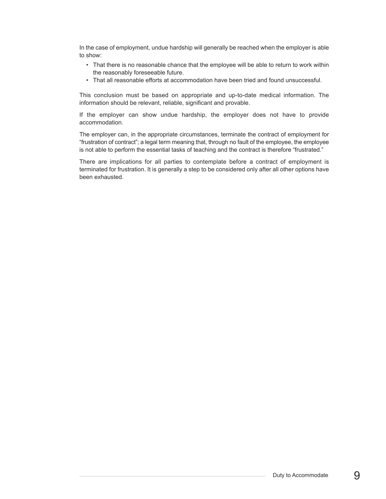In the case of employment, undue hardship will generally be reached when the employer is able to show:

- That there is no reasonable chance that the employee will be able to return to work within the reasonably foreseeable future.
- That all reasonable efforts at accommodation have been tried and found unsuccessful.

This conclusion must be based on appropriate and up-to-date medical information. The information should be relevant, reliable, significant and provable.

If the employer can show undue hardship, the employer does not have to provide accommodation.

The employer can, in the appropriate circumstances, terminate the contract of employment for "frustration of contract"; a legal term meaning that, through no fault of the employee, the employee is not able to perform the essential tasks of teaching and the contract is therefore "frustrated."

There are implications for all parties to contemplate before a contract of employment is terminated for frustration. It is generally a step to be considered only after all other options have been exhausted.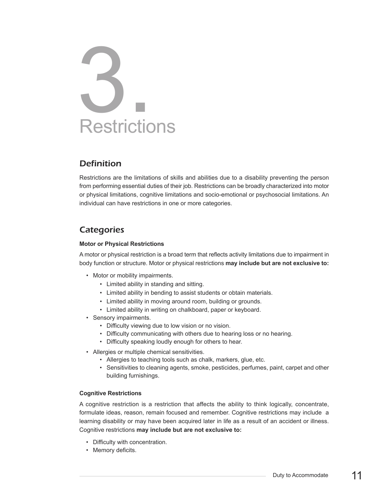# **Restrictions** 3.

# *Definition*

Restrictions are the limitations of skills and abilities due to a disability preventing the person from performing essential duties of their job. Restrictions can be broadly characterized into motor or physical limitations, cognitive limitations and socio-emotional or psychosocial limitations. An individual can have restrictions in one or more categories.

# *Categories*

#### **Motor or Physical Restrictions**

A motor or physical restriction is a broad term that reflects activity limitations due to impairment in body function or structure. Motor or physical restrictions **may include but are not exclusive to:**

- Motor or mobility impairments.
	- Limited ability in standing and sitting.
	- Limited ability in bending to assist students or obtain materials.
	- Limited ability in moving around room, building or grounds.
	- Limited ability in writing on chalkboard, paper or keyboard.
- Sensory impairments.
	- Difficulty viewing due to low vision or no vision.
	- Difficulty communicating with others due to hearing loss or no hearing.
	- Difficulty speaking loudly enough for others to hear.
- Allergies or multiple chemical sensitivities.
	- Allergies to teaching tools such as chalk, markers, glue, etc.
	- Sensitivities to cleaning agents, smoke, pesticides, perfumes, paint, carpet and other building furnishings.

#### **Cognitive Restrictions**

A cognitive restriction is a restriction that affects the ability to think logically, concentrate, formulate ideas, reason, remain focused and remember. Cognitive restrictions may include a learning disability or may have been acquired later in life as a result of an accident or illness. Cognitive restrictions **may include but are not exclusive to:**

- Difficulty with concentration.
- Memory deficits.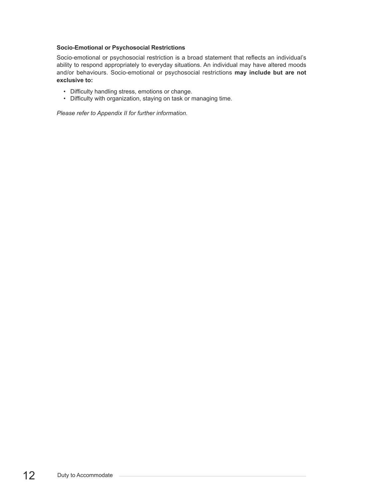#### **Socio-Emotional or Psychosocial Restrictions**

Socio-emotional or psychosocial restriction is a broad statement that reflects an individual's ability to respond appropriately to everyday situations. An individual may have altered moods and/or behaviours. Socio-emotional or psychosocial restrictions **may include but are not exclusive to:**

- Difficulty handling stress, emotions or change.
- Difficulty with organization, staying on task or managing time.

*Please refer to Appendix II for further information.*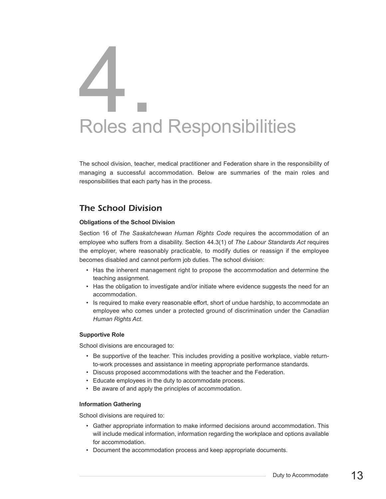# Roles and Responsibilities 4.

The school division, teacher, medical practitioner and Federation share in the responsibility of managing a successful accommodation. Below are summaries of the main roles and responsibilities that each party has in the process.

# *The School Division*

#### **Obligations of the School Division**

Section 16 of *The Saskatchewan Human Rights Code* requires the accommodation of an employee who suffers from a disability. Section 44.3(1) of *The Labour Standards Act* requires the employer, where reasonably practicable, to modify duties or reassign if the employee becomes disabled and cannot perform job duties. The school division:

- Has the inherent management right to propose the accommodation and determine the teaching assignment.
- Has the obligation to investigate and/or initiate where evidence suggests the need for an accommodation.
- Is required to make every reasonable effort, short of undue hardship, to accommodate an employee who comes under a protected ground of discrimination under the *Canadian Human Rights Act*.

#### **Supportive Role**

School divisions are encouraged to:

- Be supportive of the teacher. This includes providing a positive workplace, viable returnto-work processes and assistance in meeting appropriate performance standards.
- Discuss proposed accommodations with the teacher and the Federation.
- Educate employees in the duty to accommodate process.
- Be aware of and apply the principles of accommodation.

#### **Information Gathering**

School divisions are required to:

- Gather appropriate information to make informed decisions around accommodation. This will include medical information, information regarding the workplace and options available for accommodation.
- Document the accommodation process and keep appropriate documents.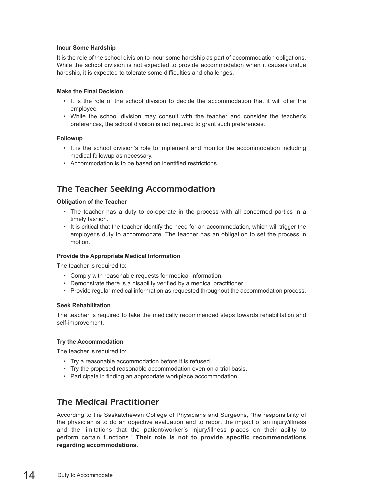#### **Incur Some Hardship**

It is the role of the school division to incur some hardship as part of accommodation obligations. While the school division is not expected to provide accommodation when it causes undue hardship, it is expected to tolerate some difficulties and challenges.

#### **Make the Final Decision**

- It is the role of the school division to decide the accommodation that it will offer the employee.
- While the school division may consult with the teacher and consider the teacher's preferences, the school division is not required to grant such preferences.

#### **Followup**

- It is the school division's role to implement and monitor the accommodation including medical followup as necessary.
- Accommodation is to be based on identified restrictions.

# *The Teacher Seeking Accommodation*

#### **Obligation of the Teacher**

- The teacher has a duty to co-operate in the process with all concerned parties in a timely fashion.
- It is critical that the teacher identify the need for an accommodation, which will trigger the employer's duty to accommodate. The teacher has an obligation to set the process in motion.

#### **Provide the Appropriate Medical Information**

The teacher is required to:

- Comply with reasonable requests for medical information.
- Demonstrate there is a disability verified by a medical practitioner.
- Provide regular medical information as requested throughout the accommodation process.

#### **Seek Rehabilitation**

The teacher is required to take the medically recommended steps towards rehabilitation and self-improvement.

#### **Try the Accommodation**

The teacher is required to:

- Try a reasonable accommodation before it is refused.
- Try the proposed reasonable accommodation even on a trial basis.
- Participate in finding an appropriate workplace accommodation.

# *The Medical Practitioner*

According to the Saskatchewan College of Physicians and Surgeons, "the responsibility of the physician is to do an objective evaluation and to report the impact of an injury/illness and the limitations that the patient/worker's injury/illness places on their ability to perform certain functions." **Their role is not to provide specific recommendations regarding accommodations**.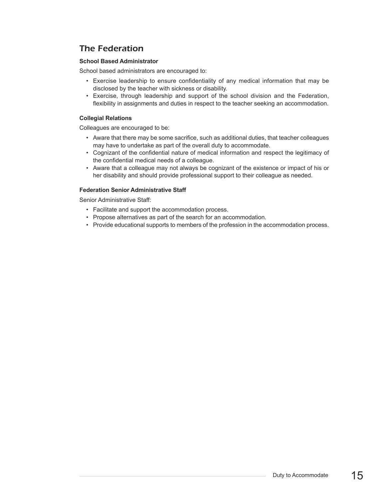# *The Federation*

#### **School Based Administrator**

School based administrators are encouraged to:

- Exercise leadership to ensure confidentiality of any medical information that may be disclosed by the teacher with sickness or disability.
- Exercise, through leadership and support of the school division and the Federation, flexibility in assignments and duties in respect to the teacher seeking an accommodation.

#### **Collegial Relations**

Colleagues are encouraged to be:

- Aware that there may be some sacrifice, such as additional duties, that teacher colleagues may have to undertake as part of the overall duty to accommodate.
- Cognizant of the confidential nature of medical information and respect the legitimacy of the confidential medical needs of a colleague.
- Aware that a colleague may not always be cognizant of the existence or impact of his or her disability and should provide professional support to their colleague as needed.

#### **Federation Senior Administrative Staff**

Senior Administrative Staff:

- Facilitate and support the accommodation process.
- Propose alternatives as part of the search for an accommodation.
- Provide educational supports to members of the profession in the accommodation process.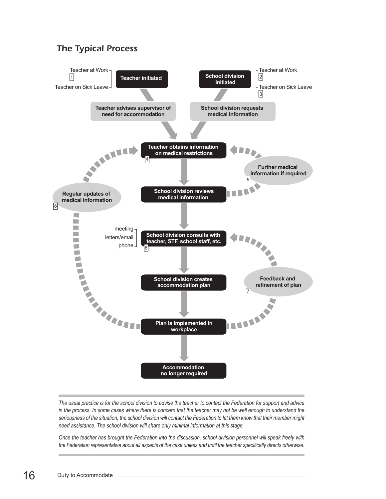# *The Typical Process*



The usual practice is for the school division to advise the teacher to contact the Federation for support and advice in the process. In some cases where there is concern that the teacher may not be well enough to understand the seriousness of the situation, the school division will contact the Federation to let them know that their member might *need assistance. The school division will share only minimal information at this stage.*

Once the teacher has brought the Federation into the discussion, school division personnel will speak freely with the Federation representative about all aspects of the case unless and until the teacher specifically directs otherwise.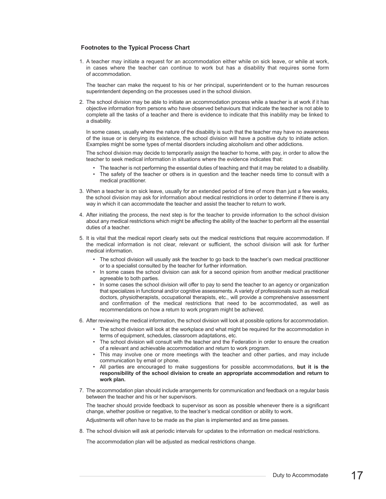#### **Footnotes to the Typical Process Chart**

1. A teacher may initiate a request for an accommodation either while on sick leave, or while at work, in cases where the teacher can continue to work but has a disability that requires some form of accommodation.

The teacher can make the request to his or her principal, superintendent or to the human resources superintendent depending on the processes used in the school division.

2. The school division may be able to initiate an accommodation process while a teacher is at work if it has objective information from persons who have observed behaviours that indicate the teacher is not able to complete all the tasks of a teacher and there is evidence to indicate that this inability may be linked to a disability.

In some cases, usually where the nature of the disability is such that the teacher may have no awareness of the issue or is denying its existence, the school division will have a positive duty to initiate action. Examples might be some types of mental disorders including alcoholism and other addictions.

The school division may decide to temporarily assign the teacher to home, with pay, in order to allow the teacher to seek medical information in situations where the evidence indicates that:

- The teacher is not performing the essential duties of teaching and that it may be related to a disability.
- The safety of the teacher or others is in question and the teacher needs time to consult with a medical practitioner.
- 3. When a teacher is on sick leave, usually for an extended period of time of more than just a few weeks, the school division may ask for information about medical restrictions in order to determine if there is any way in which it can accommodate the teacher and assist the teacher to return to work.
- 4. After initiating the process, the next step is for the teacher to provide information to the school division about any medical restrictions which might be affecting the ability of the teacher to perform all the essential duties of a teacher.
- 5. It is vital that the medical report clearly sets out the medical restrictions that require accommodation. If the medical information is not clear, relevant or sufficient, the school division will ask for further medical information.
	- The school division will usually ask the teacher to go back to the teacher's own medical practitioner or to a specialist consulted by the teacher for further information.
	- In some cases the school division can ask for a second opinion from another medical practitioner agreeable to both parties.
	- In some cases the school division will offer to pay to send the teacher to an agency or organization that specializes in functional and/or cognitive assessments.Avariety of professionals such as medical doctors, physiotherapists, occupational therapists, etc., will provide a comprehensive assessment and confirmation of the medical restrictions that need to be accommodated, as well as recommendations on how a return to work program might be achieved.
- 6. After reviewing the medical information, the school division will look at possible options for accommodation.
	- The school division will look at the workplace and what might be required for the accommodation in terms of equipment, schedules, classroom adaptations, etc.
	- The school division will consult with the teacher and the Federation in order to ensure the creation of a relevant and achievable accommodation and return to work program.
	- This may involve one or more meetings with the teacher and other parties, and may include communication by email or phone.
	- All parties are encouraged to make suggestions for possible accommodations, **but it is the responsibility of the school division to create an appropriate accommodation and return to work plan.**
- 7. The accommodation plan should include arrangements for communication and feedback on a regular basis between the teacher and his or her supervisors.

The teacher should provide feedback to supervisor as soon as possible whenever there is a significant change, whether positive or negative, to the teacher's medical condition or ability to work.

Adjustments will often have to be made as the plan is implemented and as time passes.

8. The school division will ask at periodic intervals for updates to the information on medical restrictions.

The accommodation plan will be adjusted as medical restrictions change.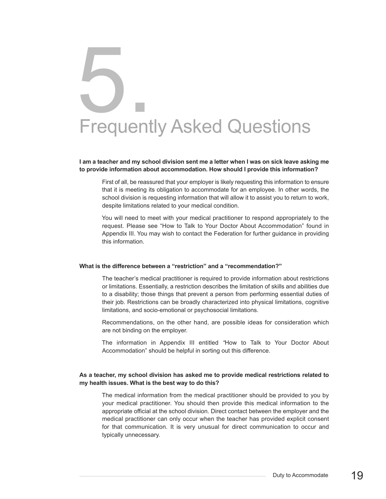# Frequently Asked Questions 5.

#### I am a teacher and my school division sent me a letter when I was on sick leave asking me **to provide information about accommodation. How should I provide this information?**

First of all, be reassured that your employer is likely requesting this information to ensure that it is meeting its obligation to accommodate for an employee. In other words, the school division is requesting information that will allow it to assist you to return to work, despite limitations related to your medical condition.

You will need to meet with your medical practitioner to respond appropriately to the request. Please see "How to Talk to Your Doctor About Accommodation" found in Appendix III. You may wish to contact the Federation for further guidance in providing this information.

#### **What is the difference between a "restriction" and a "recommendation?"**

The teacher's medical practitioner is required to provide information about restrictions or limitations. Essentially, a restriction describes the limitation of skills and abilities due to a disability; those things that prevent a person from performing essential duties of their job. Restrictions can be broadly characterized into physical limitations, cognitive limitations, and socio-emotional or psychosocial limitations.

Recommendations, on the other hand, are possible ideas for consideration which are not binding on the employer.

The information in Appendix III entitled *"*How to Talk to Your Doctor About Accommodation" should be helpful in sorting out this difference.

#### **As a teacher, my school division has asked me to provide medical restrictions related to my health issues. What is the best way to do this?**

The medical information from the medical practitioner should be provided to you by your medical practitioner. You should then provide this medical information to the appropriate official at the school division. Direct contact between the employer and the medical practitioner can only occur when the teacher has provided explicit consent for that communication. It is very unusual for direct communication to occur and typically unnecessary.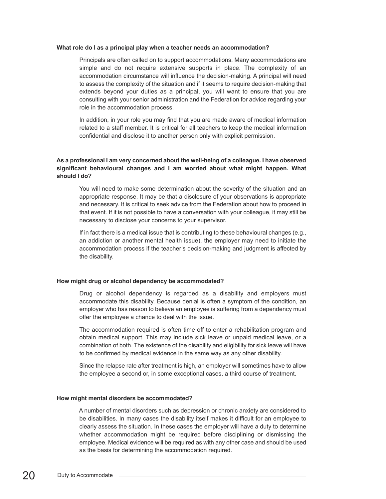#### **What role do I as a principal play when a teacher needs an accommodation?**

Principals are often called on to support accommodations. Many accommodations are simple and do not require extensive supports in place. The complexity of an accommodation circumstance will influence the decision-making. A principal will need to assess the complexity of the situation and if it seems to require decision-making that extends beyond your duties as a principal, you will want to ensure that you are consulting with your senior administration and the Federation for advice regarding your role in the accommodation process.

In addition, in your role you may find that you are made aware of medical information related to a staff member. It is critical for all teachers to keep the medical information confidential and disclose it to another person only with explicit permission.

#### **As a professional I am very concerned about the well-being of a colleague. I have observed significant behavioural changes and I am worried about what might happen. What should I do?**

You will need to make some determination about the severity of the situation and an appropriate response. It may be that a disclosure of your observations is appropriate and necessary. It is critical to seek advice from the Federation about how to proceed in that event. If it is not possible to have a conversation with your colleague, it may still be necessary to disclose your concerns to your supervisor.

If in fact there is a medical issue that is contributing to these behavioural changes (e.g., an addiction or another mental health issue), the employer may need to initiate the accommodation process if the teacher's decision-making and judgment is affected by the disability.

#### **How might drug or alcohol dependency be accommodated?**

Drug or alcohol dependency is regarded as a disability and employers must accommodate this disability. Because denial is often a symptom of the condition, an employer who has reason to believe an employee is suffering from a dependency must offer the employee a chance to deal with the issue.

The accommodation required is often time off to enter a rehabilitation program and obtain medical support. This may include sick leave or unpaid medical leave, or a combination of both. The existence of the disability and eligibility for sick leave will have to be confirmed by medical evidence in the same way as any other disability.

Since the relapse rate after treatment is high, an employer will sometimes have to allow the employee a second or, in some exceptional cases, a third course of treatment.

#### **How might mental disorders be accommodated?**

A number of mental disorders such as depression or chronic anxiety are considered to be disabilities. In many cases the disability itself makes it difficult for an employee to clearly assess the situation. In these cases the employer will have a duty to determine whether accommodation might be required before disciplining or dismissing the employee. Medical evidence will be required as with any other case and should be used as the basis for determining the accommodation required.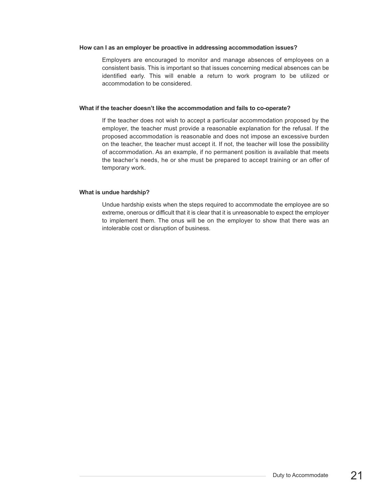#### **How can I as an employer be proactive in addressing accommodation issues?**

Employers are encouraged to monitor and manage absences of employees on a consistent basis. This is important so that issues concerning medical absences can be identified early. This will enable a return to work program to be utilized or accommodation to be considered.

#### **What if the teacher doesn't like the accommodation and fails to co-operate?**

If the teacher does not wish to accept a particular accommodation proposed by the employer, the teacher must provide a reasonable explanation for the refusal. If the proposed accommodation is reasonable and does not impose an excessive burden on the teacher, the teacher must accept it. If not, the teacher will lose the possibility of accommodation. As an example, if no permanent position is available that meets the teacher's needs, he or she must be prepared to accept training or an offer of temporary work.

#### **What is undue hardship?**

Undue hardship exists when the steps required to accommodate the employee are so extreme, onerous or difficult that it is clear that it is unreasonable to expect the employer to implement them. The onus will be on the employer to show that there was an intolerable cost or disruption of business.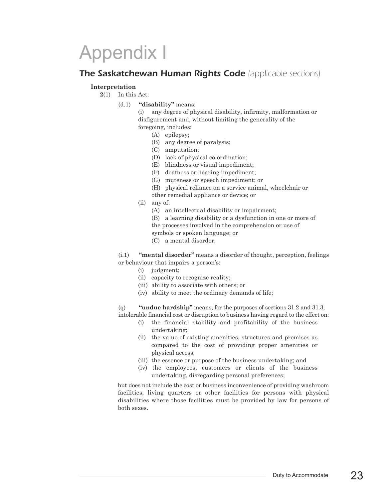# Appendix I

### *The Saskatchewan Human Rights Code (applicable sections)*

#### **Interpretation**

**2**(1) In this Act:

(d.1) **"disability"** means:

(i) any degree of physical disability, infirmity, malformation or disfigurement and, without limiting the generality of the foregoing, includes:

- (A) epilepsy;
- (B) any degree of paralysis;
- (C) amputation;
- (D) lack of physical co-ordination;
- (E) blindness or visual impediment;
- (F) deafness or hearing impediment;
- (G) muteness or speech impediment; or
- (H) physical reliance on a service animal, wheelchair or
- other remedial appliance or device; or
- (ii) any of:
	- (A) an intellectual disability or impairment;
	- (B) a learning disability or a dysfunction in one or more of
	- the processes involved in the comprehension or use of
	- symbols or spoken language; or
	- (C) a mental disorder;

(i.1) **"mental disorder"** means a disorder of thought, perception, feelings or behaviour that impairs a person's:

- (i) judgment;
- (ii) capacity to recognize reality;
- (iii) ability to associate with others; or
- (iv) ability to meet the ordinary demands of life;

(q) **"undue hardship"** means, for the purposes of sections 31.2 and 31.3, intolerable financial cost or disruption to business having regard to the effect on:

- (i) the financial stability and profitability of the business undertaking;
- (ii) the value of existing amenities, structures and premises as compared to the cost of providing proper amenities or physical access;
- (iii) the essence or purpose of the business undertaking; and
- (iv) the employees, customers or clients of the business undertaking, disregarding personal preferences;

but does not include the cost or business inconvenience of providing washroom facilities, living quarters or other facilities for persons with physical disabilities where those facilities must be provided by law for persons of both sexes.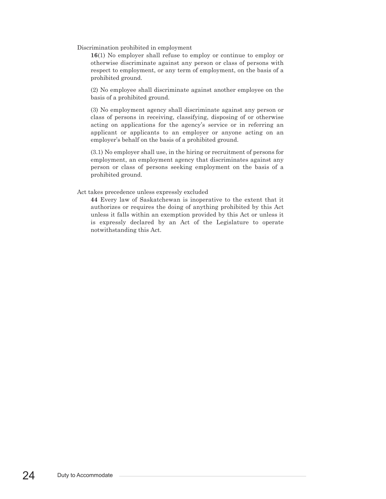Discrimination prohibited in employment

**16**(1) No employer shall refuse to employ or continue to employ or otherwise discriminate against any person or class of persons with respect to employment, or any term of employment, on the basis of a prohibited ground.

(2) No employee shall discriminate against another employee on the basis of a prohibited ground.

(3) No employment agency shall discriminate against any person or class of persons in receiving, classifying, disposing of or otherwise acting on applications for the agency's service or in referring an applicant or applicants to an employer or anyone acting on an employer's behalf on the basis of a prohibited ground.

(3.1) No employer shall use, in the hiring or recruitment of persons for employment, an employment agency that discriminates against any person or class of persons seeking employment on the basis of a prohibited ground.

Act takes precedence unless expressly excluded

**44** Every law of Saskatchewan is inoperative to the extent that it authorizes or requires the doing of anything prohibited by this Act unless it falls within an exemption provided by this Act or unless it is expressly declared by an Act of the Legislature to operate notwithstanding this Act.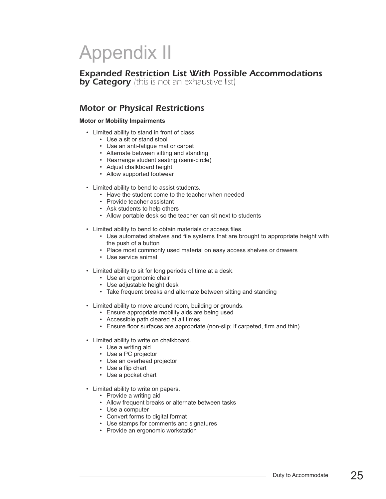# Appendix II

# *Expanded Restriction List With Possible Accommodations*

*by Category (this is not an exhaustive list)*

# *Motor or Physical Restrictions*

#### **Motor or Mobility Impairments**

- Limited ability to stand in front of class.
	- Use a sit or stand stool
	- Use an anti-fatigue mat or carpet
	- Alternate between sitting and standing
	- Rearrange student seating (semi-circle)
	- Adjust chalkboard height
	- Allow supported footwear
- Limited ability to bend to assist students.
	- Have the student come to the teacher when needed
	- Provide teacher assistant
	- Ask students to help others
	- Allow portable desk so the teacher can sit next to students
- Limited ability to bend to obtain materials or access files.
	- Use automated shelves and file systems that are brought to appropriate height with the push of a button
	- Place most commonly used material on easy access shelves or drawers
	- Use service animal
- Limited ability to sit for long periods of time at a desk.
	- Use an ergonomic chair
	- Use adjustable height desk
	- Take frequent breaks and alternate between sitting and standing
- Limited ability to move around room, building or grounds.
	- Ensure appropriate mobility aids are being used
	- Accessible path cleared at all times
	- Ensure floor surfaces are appropriate (non-slip; if carpeted, firm and thin)
- Limited ability to write on chalkboard.
	- Use a writing aid
	- Use a PC projector
	- Use an overhead projector
	- Use a flip chart
	- Use a pocket chart
- Limited ability to write on papers.
	- Provide a writing aid
	- Allow frequent breaks or alternate between tasks
	- Use a computer
	- Convert forms to digital format
	- Use stamps for comments and signatures
	- Provide an ergonomic workstation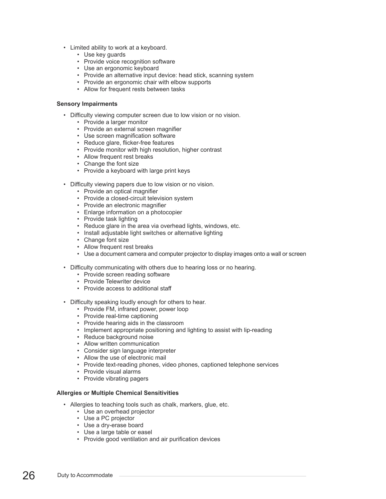- Limited ability to work at a keyboard.
	- Use key guards
	- Provide voice recognition software
	- Use an ergonomic keyboard
	- Provide an alternative input device: head stick, scanning system
	- Provide an ergonomic chair with elbow supports
	- Allow for frequent rests between tasks

#### **Sensory Impairments**

- Difficulty viewing computer screen due to low vision or no vision.
	- Provide a larger monitor
	- Provide an external screen magnifier
	- Use screen magnification software
	- Reduce glare, flicker-free features
	- Provide monitor with high resolution, higher contrast
	- Allow frequent rest breaks
	- Change the font size
	- Provide a keyboard with large print keys
- Difficulty viewing papers due to low vision or no vision.
	- Provide an optical magnifier
	- Provide a closed-circuit television system
	- Provide an electronic magnifier
	- Enlarge information on a photocopier
	- Provide task lighting
	- Reduce glare in the area via overhead lights, windows, etc.
	- Install adjustable light switches or alternative lighting
	- Change font size
	- Allow frequent rest breaks
	- Use a document camera and computer projector to display images onto a wall or screen
- Difficulty communicating with others due to hearing loss or no hearing.
	- Provide screen reading software
	- Provide Telewriter device
	- Provide access to additional staff
- Difficulty speaking loudly enough for others to hear.
	- Provide FM, infrared power, power loop
	- Provide real-time captioning
	- Provide hearing aids in the classroom
	- Implement appropriate positioning and lighting to assist with lip-reading
	- Reduce background noise
	- Allow written communication
	- Consider sign language interpreter
	- Allow the use of electronic mail
	- Provide text-reading phones, video phones, captioned telephone services
	- Provide visual alarms
	- Provide vibrating pagers

#### **Allergies or Multiple Chemical Sensitivities**

- Allergies to teaching tools such as chalk, markers, glue, etc.
	- Use an overhead projector
	- Use a PC projector
	- Use a dry-erase board
	- Use a large table or easel
	- Provide good ventilation and air purification devices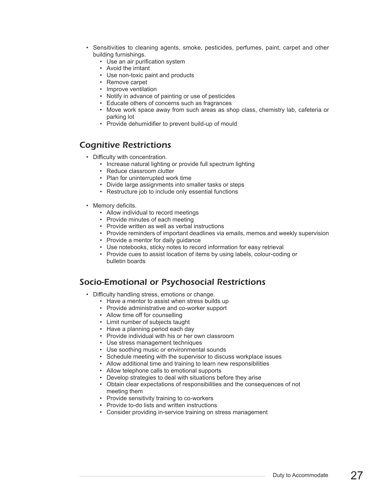- Sensitivities to cleaning agents, smoke, pesticides, perfumes, paint, carpet and other building furnishings.
	- Use an air purification system
	- Avoid the irritant
	- Use non-toxic paint and products
	- Remove carpet
	- Improve ventilation
	- Notify in advance of painting or use of pesticides
	- Educate others of concerns such as fragrances
	- Move work space away from such areas as shop class, chemistry lab, cafeteria or parking lot
	- Provide dehumidifier to prevent build-up of mould

## *Cognitive Restrictions*

- Difficulty with concentration.
	- Increase natural lighting or provide full spectrum lighting
	- Reduce classroom clutter
	- Plan for uninterrupted work time
	- Divide large assignments into smaller tasks or steps
	- Restructure job to include only essential functions
- Memory deficits.
	- Allow individual to record meetings
	- Provide minutes of each meeting
	- Provide written as well as verbal instructions
	- Provide reminders of important deadlines via emails, memos and weekly supervision
	- Provide a mentor for daily guidance
	- Use notebooks, sticky notes to record information for easy retrieval
	- Provide cues to assist location of items by using labels, colour-coding or bulletin boards

### *Socio-Emotional or Psychosocial Restrictions*

- Difficulty handling stress, emotions or change.
	- Have a mentor to assist when stress builds up
	- Provide administrative and co-worker support
	- Allow time off for counselling
	- Limit number of subjects taught
	- Have a planning period each day
	- Provide individual with his or her own classroom
	- Use stress management techniques
	- Use soothing music or environmental sounds
	- Schedule meeting with the supervisor to discuss workplace issues
	- Allow additional time and training to learn new responsibilities
	- Allow telephone calls to emotional supports
	- Develop strategies to deal with situations before they arise
	- Obtain clear expectations of responsibilities and the consequences of not meeting them
	- Provide sensitivity training to co-workers
	- Provide to-do lists and written instructions
	- Consider providing in-service training on stress management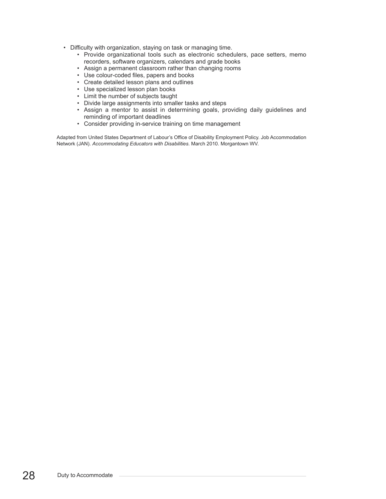- Difficulty with organization, staying on task or managing time.
	- Provide organizational tools such as electronic schedulers, pace setters, memo recorders, software organizers, calendars and grade books
	- Assign a permanent classroom rather than changing rooms
	- Use colour-coded files, papers and books
	- Create detailed lesson plans and outlines
	- Use specialized lesson plan books
	- Limit the number of subjects taught
	- Divide large assignments into smaller tasks and steps
	- Assign a mentor to assist in determining goals, providing daily guidelines and reminding of important deadlines
	- Consider providing in-service training on time management

Adapted from United States Department of Labour's Office of Disability Employment Policy. Job Accommodation Network (JAN). *Accommodating Educators with Disabilities*. March 2010. Morgantown WV.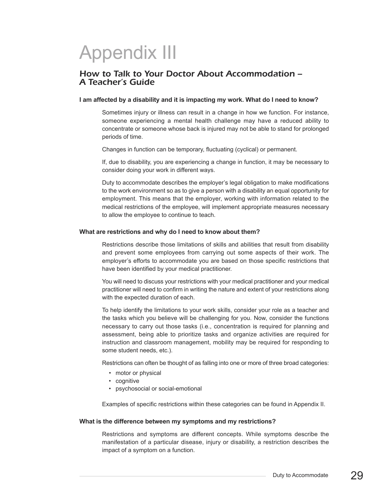# Appendix III

# *How to Talk to Your Doctor About Accommodation – <sup>A</sup> Teacher's Guide*

#### **I am affected by a disability and it is impacting my work. What do I need to know?**

Sometimes injury or illness can result in a change in how we function. For instance, someone experiencing a mental health challenge may have a reduced ability to concentrate or someone whose back is injured may not be able to stand for prolonged periods of time.

Changes in function can be temporary, fluctuating (cyclical) or permanent.

If, due to disability, you are experiencing a change in function, it may be necessary to consider doing your work in different ways.

Duty to accommodate describes the employer's legal obligation to make modifications to the work environment so as to give a person with a disability an equal opportunity for employment. This means that the employer, working with information related to the medical restrictions of the employee, will implement appropriate measures necessary to allow the employee to continue to teach.

#### **What are restrictions and why do I need to know about them?**

Restrictions describe those limitations of skills and abilities that result from disability and prevent some employees from carrying out some aspects of their work. The employer's efforts to accommodate you are based on those specific restrictions that have been identified by your medical practitioner.

You will need to discuss your restrictions with your medical practitioner and your medical practitioner will need to confirm in writing the nature and extent of your restrictions along with the expected duration of each.

To help identify the limitations to your work skills, consider your role as a teacher and the tasks which you believe will be challenging for you. Now, consider the functions necessary to carry out those tasks (i.e., concentration is required for planning and assessment, being able to prioritize tasks and organize activities are required for instruction and classroom management, mobility may be required for responding to some student needs, etc.).

Restrictions can often be thought of as falling into one or more of three broad categories:

- motor or physical
- cognitive
- psychosocial or social-emotional

Examples of specific restrictions within these categories can be found in Appendix II.

#### **What is the difference between my symptoms and my restrictions?**

Restrictions and symptoms are different concepts. While symptoms describe the manifestation of a particular disease, injury or disability, a restriction describes the impact of a symptom on a function.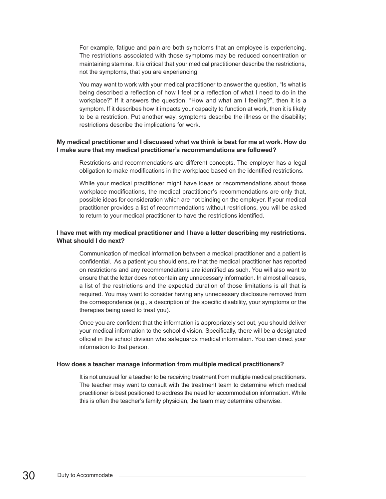For example, fatigue and pain are both symptoms that an employee is experiencing. The restrictions associated with those symptoms may be reduced concentration or maintaining stamina. It is critical that your medical practitioner describe the restrictions, not the symptoms, that you are experiencing.

You may want to work with your medical practitioner to answer the question, "Is what is being described a reflection of how I feel or a reflection of what I need to do in the workplace?" If it answers the question, "How and what am I feeling?", then it is a symptom. If it describes how it impacts your capacity to function at work, then it is likely to be a restriction. Put another way, symptoms describe the illness or the disability; restrictions describe the implications for work.

#### **My medical practitioner and I discussed what we think is best for me at work. How do I make sure that my medical practitioner's recommendations are followed?**

Restrictions and recommendations are different concepts. The employer has a legal obligation to make modifications in the workplace based on the identified restrictions.

While your medical practitioner might have ideas or recommendations about those workplace modifications, the medical practitioner's recommendations are only that, possible ideas for consideration which are not binding on the employer. If your medical practitioner provides a list of recommendations without restrictions, you will be asked to return to your medical practitioner to have the restrictions identified.

#### **I have met with my medical practitioner and I have a letter describing my restrictions. What should I do next?**

Communication of medical information between a medical practitioner and a patient is confidential. As a patient you should ensure that the medical practitioner has reported on restrictions and any recommendations are identified as such. You will also want to ensure that the letter does not contain any unnecessary information. In almost all cases, a list of the restrictions and the expected duration of those limitations is all that is required. You may want to consider having any unnecessary disclosure removed from the correspondence (e.g., a description of the specific disability, your symptoms or the therapies being used to treat you).

Once you are confident that the information is appropriately set out, you should deliver your medical information to the school division. Specifically, there will be a designated official in the school division who safeguards medical information. You can direct your information to that person.

#### **How does a teacher manage information from multiple medical practitioners?**

It is not unusual for a teacher to be receiving treatment from multiple medical practitioners. The teacher may want to consult with the treatment team to determine which medical practitioner is best positioned to address the need for accommodation information. While this is often the teacher's family physician, the team may determine otherwise.